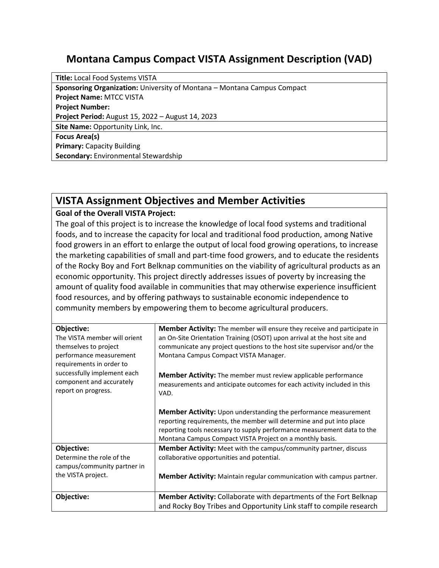## **Montana Campus Compact VISTA Assignment Description (VAD)**

**Title:** Local Food Systems VISTA **Sponsoring Organization:** University of Montana – Montana Campus Compact **Project Name:** MTCC VISTA **Project Number: Project Period:** August 15, 2022 – August 14, 2023 **Site Name:** Opportunity Link, Inc. **Focus Area(s) Primary:** Capacity Building **Secondary:** Environmental Stewardship

## **VISTA Assignment Objectives and Member Activities**

## **Goal of the Overall VISTA Project:**

The goal of this project is to increase the knowledge of local food systems and traditional foods, and to increase the capacity for local and traditional food production, among Native food growers in an effort to enlarge the output of local food growing operations, to increase the marketing capabilities of small and part-time food growers, and to educate the residents of the Rocky Boy and Fort Belknap communities on the viability of agricultural products as an economic opportunity. This project directly addresses issues of poverty by increasing the amount of quality food available in communities that may otherwise experience insufficient food resources, and by offering pathways to sustainable economic independence to community members by empowering them to become agricultural producers.

| Objective:                   | <b>Member Activity:</b> The member will ensure they receive and participate in |
|------------------------------|--------------------------------------------------------------------------------|
| The VISTA member will orient | an On-Site Orientation Training (OSOT) upon arrival at the host site and       |
| themselves to project        | communicate any project questions to the host site supervisor and/or the       |
| performance measurement      | Montana Campus Compact VISTA Manager.                                          |
| requirements in order to     |                                                                                |
| successfully implement each  | Member Activity: The member must review applicable performance                 |
| component and accurately     | measurements and anticipate outcomes for each activity included in this        |
| report on progress.          | VAD.                                                                           |
|                              |                                                                                |
|                              | <b>Member Activity:</b> Upon understanding the performance measurement         |
|                              | reporting requirements, the member will determine and put into place           |
|                              | reporting tools necessary to supply performance measurement data to the        |
|                              | Montana Campus Compact VISTA Project on a monthly basis.                       |
| Objective:                   | <b>Member Activity:</b> Meet with the campus/community partner, discuss        |
| Determine the role of the    | collaborative opportunities and potential.                                     |
| campus/community partner in  |                                                                                |
| the VISTA project.           | <b>Member Activity:</b> Maintain regular communication with campus partner.    |
|                              |                                                                                |
|                              |                                                                                |
| Objective:                   | Member Activity: Collaborate with departments of the Fort Belknap              |
|                              | and Rocky Boy Tribes and Opportunity Link staff to compile research            |